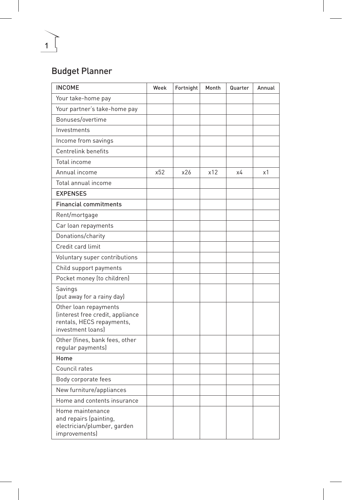## Budget Planner

1

| <b>INCOME</b>                                                                                               | Week | Fortnight | Month | Quarter | Annual |
|-------------------------------------------------------------------------------------------------------------|------|-----------|-------|---------|--------|
| Your take-home pay                                                                                          |      |           |       |         |        |
| Your partner's take-home pay                                                                                |      |           |       |         |        |
| Bonuses/overtime                                                                                            |      |           |       |         |        |
| Investments                                                                                                 |      |           |       |         |        |
| Income from savings                                                                                         |      |           |       |         |        |
| Centrelink benefits                                                                                         |      |           |       |         |        |
| Total income                                                                                                |      |           |       |         |        |
| Annual income                                                                                               | x52  | x26       | x12   | х4      | х1     |
| Total annual income                                                                                         |      |           |       |         |        |
| <b>EXPENSES</b>                                                                                             |      |           |       |         |        |
| <b>Financial commitments</b>                                                                                |      |           |       |         |        |
| Rent/mortgage                                                                                               |      |           |       |         |        |
| Car loan repayments                                                                                         |      |           |       |         |        |
| Donations/charity                                                                                           |      |           |       |         |        |
| Credit card limit                                                                                           |      |           |       |         |        |
| Voluntary super contributions                                                                               |      |           |       |         |        |
| Child support payments                                                                                      |      |           |       |         |        |
| Pocket money (to children)                                                                                  |      |           |       |         |        |
| Savings<br>(put away for a rainy day)                                                                       |      |           |       |         |        |
| Other loan repayments<br>(interest free credit, appliance<br>rentals, HECS repayments,<br>investment loansl |      |           |       |         |        |
| Other (fines, bank fees, other<br>reqular payments)                                                         |      |           |       |         |        |
| Home                                                                                                        |      |           |       |         |        |
| Council rates                                                                                               |      |           |       |         |        |
| Body corporate fees                                                                                         |      |           |       |         |        |
| New furniture/appliances                                                                                    |      |           |       |         |        |
| Home and contents insurance                                                                                 |      |           |       |         |        |
| Home maintenance<br>and repairs (painting,<br>electrician/plumber, garden<br><i>improvements)</i>           |      |           |       |         |        |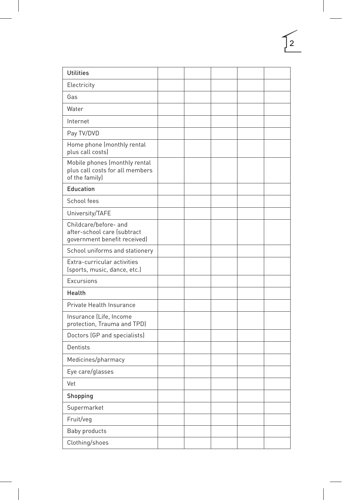| <b>Utilities</b>                                                                     |  |  |  |
|--------------------------------------------------------------------------------------|--|--|--|
| Electricity                                                                          |  |  |  |
| Gas                                                                                  |  |  |  |
| Water                                                                                |  |  |  |
| Internet                                                                             |  |  |  |
| Pay TV/DVD                                                                           |  |  |  |
| Home phone (monthly rental<br>plus call costs)                                       |  |  |  |
| Mobile phones (monthly rental<br>plus call costs for all members<br>of the family)   |  |  |  |
| Education                                                                            |  |  |  |
| School fees                                                                          |  |  |  |
| University/TAFE                                                                      |  |  |  |
| Childcare/before- and<br>after-school care (subtract<br>government benefit received) |  |  |  |
| School uniforms and stationery                                                       |  |  |  |
| Extra-curricular activities<br>(sports, music, dance, etc.)                          |  |  |  |
| Excursions                                                                           |  |  |  |
| Health                                                                               |  |  |  |
| Private Health Insurance                                                             |  |  |  |
| Insurance (Life, Income<br>protection, Trauma and TPD)                               |  |  |  |
| Doctors (GP and specialists)                                                         |  |  |  |
| <b>Dentists</b>                                                                      |  |  |  |
| Medicines/pharmacy                                                                   |  |  |  |
| Eye care/glasses                                                                     |  |  |  |
| Vet                                                                                  |  |  |  |
| Shopping                                                                             |  |  |  |
| Supermarket                                                                          |  |  |  |
| Fruit/veg                                                                            |  |  |  |
| Baby products                                                                        |  |  |  |
| Clothing/shoes                                                                       |  |  |  |

 $\begin{bmatrix} 2 \end{bmatrix}$